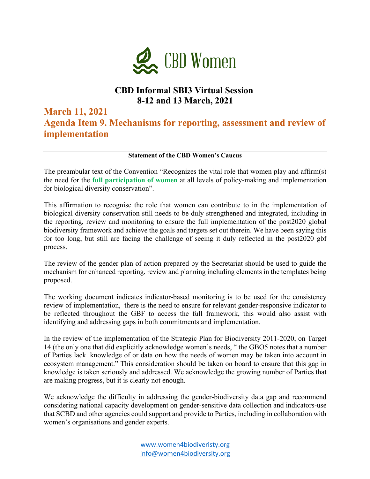

## **CBD Informal SBI3 Virtual Session 8-12 and 13 March, 2021**

**March 11, 2021** 

**Agenda Item 9. Mechanisms for reporting, assessment and review of implementation**

**Statement of the CBD Women's Caucus**

The preambular text of the Convention "Recognizes the vital role that women play and affirm(s) the need for the **full participation of women** at all levels of policy-making and implementation for biological diversity conservation".

This affirmation to recognise the role that women can contribute to in the implementation of biological diversity conservation still needs to be duly strengthened and integrated, including in the reporting, review and monitoring to ensure the full implementation of the post2020 global biodiversity framework and achieve the goals and targets set out therein. We have been saying this for too long, but still are facing the challenge of seeing it duly reflected in the post2020 gbf process.

The review of the gender plan of action prepared by the Secretariat should be used to guide the mechanism for enhanced reporting, review and planning including elements in the templates being proposed.

The working document indicates indicator-based monitoring is to be used for the consistency review of implementation, there is the need to ensure for relevant gender-responsive indicator to be reflected throughout the GBF to access the full framework, this would also assist with identifying and addressing gaps in both commitments and implementation.

In the review of the implementation of the Strategic Plan for Biodiversity 2011-2020, on Target 14 (the only one that did explicitly acknowledge women's needs, " the GBO5 notes that a number of Parties lack knowledge of or data on how the needs of women may be taken into account in ecosystem management." This consideration should be taken on board to ensure that this gap in knowledge is taken seriously and addressed. We acknowledge the growing number of Parties that are making progress, but it is clearly not enough.

We acknowledge the difficulty in addressing the gender-biodiversity data gap and recommend considering national capacity development on gender-sensitive data collection and indicators-use that SCBD and other agencies could support and provide to Parties, including in collaboration with women's organisations and gender experts.

> www.women4biodiveristy.org info@women4biodiversity.org